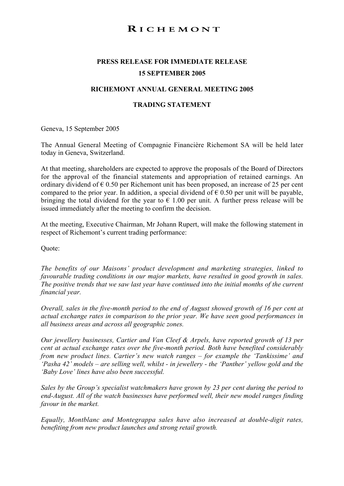# RICHEMONT

# **PRESS RELEASE FOR IMMEDIATE RELEASE 15 SEPTEMBER 2005**

## **RICHEMONT ANNUAL GENERAL MEETING 2005**

## **TRADING STATEMENT**

Geneva, 15 September 2005

The Annual General Meeting of Compagnie Financière Richemont SA will be held later today in Geneva, Switzerland.

At that meeting, shareholders are expected to approve the proposals of the Board of Directors for the approval of the financial statements and appropriation of retained earnings. An ordinary dividend of  $\epsilon$  0.50 per Richemont unit has been proposed, an increase of 25 per cent compared to the prior year. In addition, a special dividend of  $\epsilon$  0.50 per unit will be payable, bringing the total dividend for the year to  $\epsilon$  1.00 per unit. A further press release will be issued immediately after the meeting to confirm the decision.

At the meeting, Executive Chairman, Mr Johann Rupert, will make the following statement in respect of Richemont's current trading performance:

Quote:

*The benefits of our Maisons' product development and marketing strategies, linked to favourable trading conditions in our major markets, have resulted in good growth in sales. The positive trends that we saw last year have continued into the initial months of the current financial year.*

*Overall, sales in the five-month period to the end of August showed growth of 16 per cent at actual exchange rates in comparison to the prior year. We have seen good performances in all business areas and across all geographic zones.*

*Our jewellery businesses, Cartier and Van Cleef & Arpels, have reported growth of 13 per cent at actual exchange rates over the five-month period. Both have benefited considerably from new product lines. Cartier's new watch ranges – for example the 'Tankissime' and 'Pasha 42' models – are selling well, whilst - in jewellery - the 'Panther' yellow gold and the 'Baby Love' lines have also been successful.*

*Sales by the Group's specialist watchmakers have grown by 23 per cent during the period to end-August. All of the watch businesses have performed well, their new model ranges finding favour in the market.*

*Equally, Montblanc and Montegrappa sales have also increased at double-digit rates, benefiting from new product launches and strong retail growth.*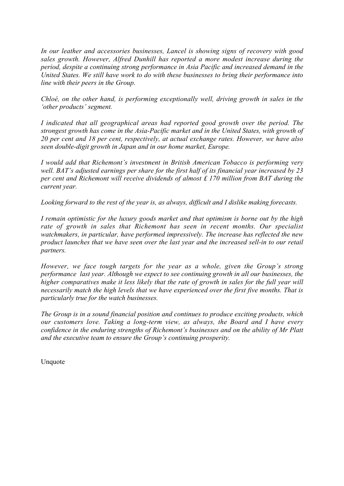*In our leather and accessories businesses, Lancel is showing signs of recovery with good sales growth. However, Alfred Dunhill has reported a more modest increase during the period, despite a continuing strong performance in Asia Pacific and increased demand in the United States. We still have work to do with these businesses to bring their performance into line with their peers in the Group.*

*Chloé, on the other hand, is performing exceptionally well, driving growth in sales in the 'other products' segment.*

*I indicated that all geographical areas had reported good growth over the period. The strongest growth has come in the Asia-Pacific market and in the United States, with growth of 20 per cent and 18 per cent, respectively, at actual exchange rates. However, we have also seen double-digit growth in Japan and in our home market, Europe.*

*I would add that Richemont's investment in British American Tobacco is performing very well. BAT's adjusted earnings per share for the first half of its financial year increased by 23 per cent and Richemont will receive dividends of almost £ 170 million from BAT during the current year.*

*Looking forward to the rest of the year is, as always, difficult and I dislike making forecasts.*

*I remain optimistic for the luxury goods market and that optimism is borne out by the high rate of growth in sales that Richemont has seen in recent months. Our specialist watchmakers, in particular, have performed impressively. The increase has reflected the new product launches that we have seen over the last year and the increased sell-in to our retail partners.*

*However, we face tough targets for the year as a whole, given the Group's strong performance last year. Although we expect to see continuing growth in all our businesses, the higher comparatives make it less likely that the rate of growth in sales for the full year will necessarily match the high levels that we have experienced over the first five months. That is particularly true for the watch businesses.*

*The Group is in a sound financial position and continues to produce exciting products, which our customers love. Taking a long-term view, as always, the Board and I have every confidence in the enduring strengths of Richemont's businesses and on the ability of Mr Platt and the executive team to ensure the Group's continuing prosperity.*

Unquote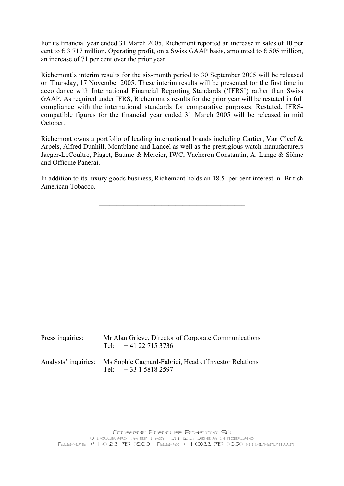For its financial year ended 31 March 2005, Richemont reported an increase in sales of 10 per cent to  $\epsilon$  3 717 million. Operating profit, on a Swiss GAAP basis, amounted to  $\epsilon$  505 million, an increase of 71 per cent over the prior year.

Richemont's interim results for the six-month period to 30 September 2005 will be released on Thursday, 17 November 2005. These interim results will be presented for the first time in accordance with International Financial Reporting Standards ('IFRS') rather than Swiss GAAP. As required under IFRS, Richemont's results for the prior year will be restated in full compliance with the international standards for comparative purposes. Restated, IFRScompatible figures for the financial year ended 31 March 2005 will be released in mid October.

Richemont owns a portfolio of leading international brands including Cartier, Van Cleef & Arpels, Alfred Dunhill, Montblanc and Lancel as well as the prestigious watch manufacturers Jaeger-LeCoultre, Piaget, Baume & Mercier, IWC, Vacheron Constantin, A. Lange & Söhne and Officine Panerai.

In addition to its luxury goods business, Richemont holds an 18.5 per cent interest in British American Tobacco.

\_\_\_\_\_\_\_\_\_\_\_\_\_\_\_\_\_\_\_\_\_\_\_\_\_\_\_\_\_\_\_\_\_\_\_\_\_\_\_\_\_\_

| Press inquiries: | Mr Alan Grieve, Director of Corporate Communications<br>Tel: $+41227153736$                       |
|------------------|---------------------------------------------------------------------------------------------------|
|                  | Analysts' inquiries: Ms Sophie Cagnard-Fabrici, Head of Investor Relations<br>Tel: $+33158182597$ |